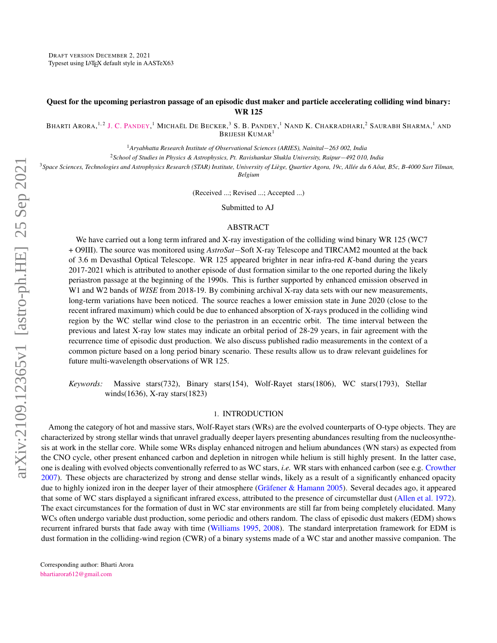# <span id="page-0-0"></span>Quest for the upcoming periastron passage of an episodic dust maker and particle accelerating colliding wind binary: WR 125

Bharti Arora,<sup>1,2</sup> [J. C. P](http://orcid.org/0000-0002-4331-1867)andey,<sup>1</sup> Michaël De Becker,<sup>3</sup> S. B. Pandey,<sup>1</sup> Nand K. Chakradhari,<sup>2</sup> Saurabh Sharma,<sup>1</sup> and BRIJESH KUMAR<sup>1</sup>

<sup>1</sup>*Aryabhatta Research Institute of Observational Sciences (ARIES), Nainital*−*263 002, India*

<sup>2</sup>*School of Studies in Physics & Astrophysics, Pt. Ravishankar Shukla University, Raipur*−*492 010, India*

<sup>3</sup>*Space Sciences, Technologies and Astrophysics Research (STAR) Institute, University of Liege, Quartier Agora, 19c, All ` ee du 6 A ´ out, B5c, B-4000 Sart Tilman, ˆ Belgium*

(Received ...; Revised ...; Accepted ...)

Submitted to AJ

## ABSTRACT

We have carried out a long term infrared and X-ray investigation of the colliding wind binary WR 125 (WC7) + O9III). The source was monitored using *AstroSat*−Soft X-ray Telescope and TIRCAM2 mounted at the back of 3.6 m Devasthal Optical Telescope. WR 125 appeared brighter in near infra-red *K*-band during the years 2017-2021 which is attributed to another episode of dust formation similar to the one reported during the likely periastron passage at the beginning of the 1990s. This is further supported by enhanced emission observed in W1 and W2 bands of *WISE* from 2018-19. By combining archival X-ray data sets with our new measurements, long-term variations have been noticed. The source reaches a lower emission state in June 2020 (close to the recent infrared maximum) which could be due to enhanced absorption of X-rays produced in the colliding wind region by the WC stellar wind close to the periastron in an eccentric orbit. The time interval between the previous and latest X-ray low states may indicate an orbital period of 28-29 years, in fair agreement with the recurrence time of episodic dust production. We also discuss published radio measurements in the context of a common picture based on a long period binary scenario. These results allow us to draw relevant guidelines for future multi-wavelength observations of WR 125.

*Keywords:* Massive stars(732), Binary stars(154), Wolf-Rayet stars(1806), WC stars(1793), Stellar winds(1636), X-ray stars(1823)

## 1. INTRODUCTION

Among the category of hot and massive stars, Wolf-Rayet stars (WRs) are the evolved counterparts of O-type objects. They are characterized by strong stellar winds that unravel gradually deeper layers presenting abundances resulting from the nucleosynthesis at work in the stellar core. While some WRs display enhanced nitrogen and helium abundances (WN stars) as expected from the CNO cycle, other present enhanced carbon and depletion in nitrogen while helium is still highly present. In the latter case, one is dealing with evolved objects conventionally referred to as WC stars, *i.e.* WR stars with enhanced carbon (see e.g. [Crowther](#page-9-0) [2007\)](#page-9-0). These objects are characterized by strong and dense stellar winds, likely as a result of a significantly enhanced opacity due to highly ionized iron in the deeper layer of their atmosphere (Gräfener & Hamann [2005\)](#page-9-1). Several decades ago, it appeared that some of WC stars displayed a significant infrared excess, attributed to the presence of circumstellar dust [\(Allen et al.](#page-9-2) [1972\)](#page-9-2). The exact circumstances for the formation of dust in WC star environments are still far from being completely elucidated. Many WCs often undergo variable dust production, some periodic and others random. The class of episodic dust makers (EDM) shows recurrent infrared bursts that fade away with time [\(Williams](#page-10-0) [1995,](#page-10-0) [2008\)](#page-10-1). The standard interpretation framework for EDM is dust formation in the colliding-wind region (CWR) of a binary systems made of a WC star and another massive companion. The

Corresponding author: Bharti Arora [bhartiarora612@gmail.com](mailto: bhartiarora612@gmail.com)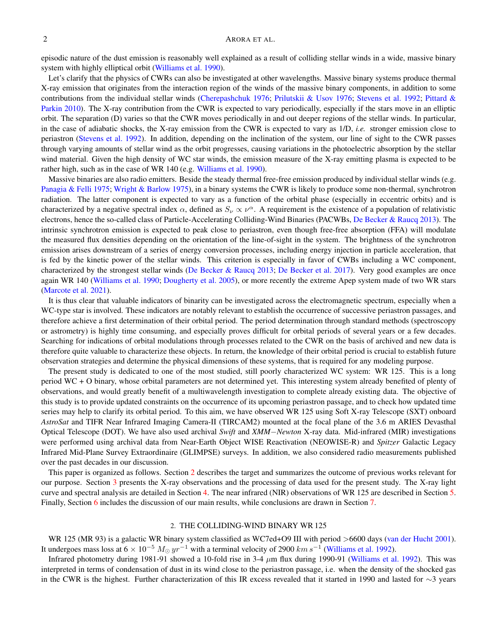episodic nature of the dust emission is reasonably well explained as a result of colliding stellar winds in a wide, massive binary system with highly elliptical orbit [\(Williams et al.](#page-10-2) [1990\)](#page-10-2).

Let's clarify that the physics of CWRs can also be investigated at other wavelengths. Massive binary systems produce thermal X-ray emission that originates from the interaction region of the winds of the massive binary components, in addition to some contributions from the individual stellar winds [\(Cherepashchuk](#page-9-3) [1976;](#page-9-3) [Prilutskii & Usov](#page-9-4) [1976;](#page-9-4) [Stevens et al.](#page-10-3) [1992;](#page-10-3) [Pittard &](#page-9-5) [Parkin](#page-9-5) [2010\)](#page-9-5). The X-ray contribution from the CWR is expected to vary periodically, especially if the stars move in an elliptic orbit. The separation (D) varies so that the CWR moves periodically in and out deeper regions of the stellar winds. In particular, in the case of adiabatic shocks, the X-ray emission from the CWR is expected to vary as 1/D, *i.e.* stronger emission close to periastron [\(Stevens et al.](#page-10-3) [1992\)](#page-10-3). In addition, depending on the inclination of the system, our line of sight to the CWR passes through varying amounts of stellar wind as the orbit progresses, causing variations in the photoelectric absorption by the stellar wind material. Given the high density of WC star winds, the emission measure of the X-ray emitting plasma is expected to be rather high, such as in the case of WR 140 (e.g. [Williams et al.](#page-10-2) [1990\)](#page-10-2).

Massive binaries are also radio emitters. Beside the steady thermal free-free emission produced by individual stellar winds (e.g. [Panagia & Felli](#page-9-6) [1975;](#page-9-6) [Wright & Barlow](#page-10-4) [1975\)](#page-10-4), in a binary systems the CWR is likely to produce some non-thermal, synchrotron radiation. The latter component is expected to vary as a function of the orbital phase (especially in eccentric orbits) and is characterized by a negative spectral index  $\alpha$ , defined as  $S_\nu \propto \nu^\alpha$ . A requirement is the existence of a population of relativistic electrons, hence the so-called class of Particle-Accelerating Colliding-Wind Binaries (PACWBs, [De Becker & Raucq](#page-9-7) [2013\)](#page-9-7). The intrinsic synchrotron emission is expected to peak close to periastron, even though free-free absorption (FFA) will modulate the measured flux densities depending on the orientation of the line-of-sight in the system. The brightness of the synchrotron emission arises downstream of a series of energy conversion processes, including energy injection in particle acceleration, that is fed by the kinetic power of the stellar winds. This criterion is especially in favor of CWBs including a WC component, characterized by the strongest stellar winds [\(De Becker & Raucq](#page-9-7) [2013;](#page-9-7) [De Becker et al.](#page-9-8) [2017\)](#page-9-8). Very good examples are once again WR 140 [\(Williams et al.](#page-10-2) [1990;](#page-10-2) [Dougherty et al.](#page-9-9) [2005\)](#page-9-9), or more recently the extreme Apep system made of two WR stars [\(Marcote et al.](#page-9-10) [2021\)](#page-9-10).

It is thus clear that valuable indicators of binarity can be investigated across the electromagnetic spectrum, especially when a WC-type star is involved. These indicators are notably relevant to establish the occurrence of successive periastron passages, and therefore achieve a first determination of their orbital period. The period determination through standard methods (spectroscopy or astrometry) is highly time consuming, and especially proves difficult for orbital periods of several years or a few decades. Searching for indications of orbital modulations through processes related to the CWR on the basis of archived and new data is therefore quite valuable to characterize these objects. In return, the knowledge of their orbital period is crucial to establish future observation strategies and determine the physical dimensions of these systems, that is required for any modeling purpose.

The present study is dedicated to one of the most studied, still poorly characterized WC system: WR 125. This is a long period WC + O binary, whose orbital parameters are not determined yet. This interesting system already benefited of plenty of observations, and would greatly benefit of a multiwavelength investigation to complete already existing data. The objective of this study is to provide updated constraints on the occurrence of its upcoming periastron passage, and to check how updated time series may help to clarify its orbital period. To this aim, we have observed WR 125 using Soft X-ray Telescope (SXT) onboard *AstroSat* and TIFR Near Infrared Imaging Camera-II (TIRCAM2) mounted at the focal plane of the 3.6 m ARIES Devasthal Optical Telescope (DOT). We have also used archival *Swift* and *XMM*−*Newton* X-ray data. Mid-infrared (MIR) investigations were performed using archival data from Near-Earth Object WISE Reactivation (NEOWISE-R) and *Spitzer* Galactic Legacy Infrared Mid-Plane Survey Extraordinaire (GLIMPSE) surveys. In addition, we also considered radio measurements published over the past decades in our discussion.

This paper is organized as follows. Section [2](#page-1-0) describes the target and summarizes the outcome of previous works relevant for our purpose. Section [3](#page-2-0) presents the X-ray observations and the processing of data used for the present study. The X-ray light curve and spectral analysis are detailed in Section [4.](#page-3-0) The near infrared (NIR) observations of WR 125 are described in Section [5.](#page-5-0) Finally, Section [6](#page-5-1) includes the discussion of our main results, while conclusions are drawn in Section [7.](#page-8-0)

## 2. THE COLLIDING-WIND BINARY WR 125

<span id="page-1-0"></span>WR 125 (MR 93) is a galactic WR binary system classified as WC7ed+O9 III with period >6600 days [\(van der Hucht](#page-10-5) [2001\)](#page-10-5). It undergoes mass loss at  $6 \times 10^{-5}~M_{\odot}~yr^{-1}$  with a terminal velocity of 2900  $km~s^{-1}$  [\(Williams et al.](#page-10-6) [1992\)](#page-10-6).

Infrared photometry during 1981-91 showed a 10-fold rise in 3-4 µm flux during 1990-91 [\(Williams et al.](#page-10-6) [1992\)](#page-10-6). This was interpreted in terms of condensation of dust in its wind close to the periastron passage, i.e. when the density of the shocked gas in the CWR is the highest. Further characterization of this IR excess revealed that it started in 1990 and lasted for ∼3 years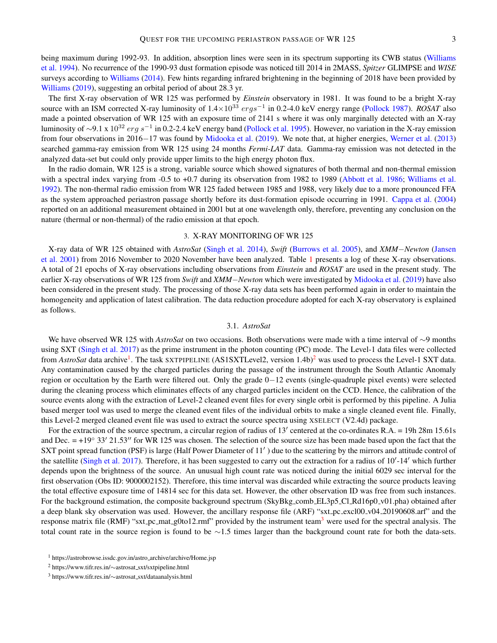being maximum during 1992-93. In addition, absorption lines were seen in its spectrum supporting its CWB status [\(Williams](#page-10-7) [et al.](#page-10-7) [1994\)](#page-10-7). No recurrence of the 1990-93 dust formation episode was noticed till 2014 in 2MASS, *Spitzer* GLIMPSE and *WISE* surveys according to [Williams](#page-10-8) [\(2014\)](#page-10-8). Few hints regarding infrared brightening in the beginning of 2018 have been provided by [Williams](#page-10-9) [\(2019\)](#page-10-9), suggesting an orbital period of about 28.3 yr.

The first X-ray observation of WR 125 was performed by *Einstein* observatory in 1981. It was found to be a bright X-ray source with an ISM corrected X-ray luminosity of  $1.4 \times 10^{33}$  ergs<sup>-1</sup> in 0.2-4.0 keV energy range [\(Pollock](#page-9-11) [1987\)](#page-9-11). *ROSAT* also made a pointed observation of WR 125 with an exposure time of 2141 s where it was only marginally detected with an X-ray luminosity of  $\sim$ 9.1 x  $10^{32}$  erg s<sup>-1</sup> in 0.2-2.4 keV energy band [\(Pollock et al.](#page-9-12) [1995\)](#page-9-12). However, no variation in the X-ray emission from four observations in 2016−17 was found by [Midooka et al.](#page-9-13) [\(2019\)](#page-9-13). We note that, at higher energies, [Werner et al.](#page-10-10) [\(2013\)](#page-10-10) searched gamma-ray emission from WR 125 using 24 months *Fermi-LAT* data. Gamma-ray emission was not detected in the analyzed data-set but could only provide upper limits to the high energy photon flux.

In the radio domain, WR 125 is a strong, variable source which showed signatures of both thermal and non-thermal emission with a spectral index varying from -0.5 to +0.7 during its observation from 1982 to 1989 [\(Abbott et al.](#page-9-14) [1986;](#page-9-14) [Williams et al.](#page-10-6) [1992\)](#page-10-6). The non-thermal radio emission from WR 125 faded between 1985 and 1988, very likely due to a more pronounced FFA as the system approached periastron passage shortly before its dust-formation episode occurring in 1991. [Cappa et al.](#page-9-15) [\(2004\)](#page-9-15) reported on an additional measurement obtained in 2001 but at one wavelength only, therefore, preventing any conclusion on the nature (thermal or non-thermal) of the radio emission at that epoch.

## 3. X-RAY MONITORING OF WR 125

<span id="page-2-0"></span>X-ray data of WR 125 obtained with *AstroSat* [\(Singh et al.](#page-9-16) [2014\)](#page-9-16), *Swift* [\(Burrows et al.](#page-9-17) [2005\)](#page-9-17), and *XMM*−*Newton* [\(Jansen](#page-9-18) [et al.](#page-9-18) [2001\)](#page-9-18) from 2016 November to 2020 November have been analyzed. Table [1](#page-0-0) presents a log of these X-ray observations. A total of 21 epochs of X-ray observations including observations from *Einstein* and *ROSAT* are used in the present study. The earlier X-ray observations of WR 125 from *Swift* and *XMM*−*Newton* which were investigated by [Midooka et al.](#page-9-13) [\(2019\)](#page-9-13) have also been considered in the present study. The processing of those X-ray data sets has been performed again in order to maintain the homogeneity and application of latest calibration. The data reduction procedure adopted for each X-ray observatory is explained as follows.

## 3.1. *AstroSat*

We have observed WR 125 with *AstroSat* on two occasions. Both observations were made with a time interval of ∼9 months using SXT [\(Singh et al.](#page-10-11) [2017\)](#page-10-11) as the prime instrument in the photon counting (PC) mode. The Level-1 data files were collected from *AstroSat* data archive<sup>[1](#page-2-1)</sup>. The task SXTPIPELINE (AS1SXTLevel[2](#page-2-2), version 1.4b)<sup>2</sup> was used to process the Level-1 SXT data. Any contamination caused by the charged particles during the passage of the instrument through the South Atlantic Anomaly region or occultation by the Earth were filtered out. Only the grade 0−12 events (single-quadruple pixel events) were selected during the cleaning process which eliminates effects of any charged particles incident on the CCD. Hence, the calibration of the source events along with the extraction of Level-2 cleaned event files for every single orbit is performed by this pipeline. A Julia based merger tool was used to merge the cleaned event files of the individual orbits to make a single cleaned event file. Finally, this Level-2 merged cleaned event file was used to extract the source spectra using XSELECT (V2.4d) package.

For the extraction of the source spectrum, a circular region of radius of  $13'$  centered at the co-ordinates R.A. = 19h 28m 15.61s and Dec.  $= +19° 33' 21.53''$  for WR 125 was chosen. The selection of the source size has been made based upon the fact that the SXT point spread function (PSF) is large (Half Power Diameter of 11') due to the scattering by the mirrors and attitude control of the satellite [\(Singh et al.](#page-10-11) [2017\)](#page-10-11). Therefore, it has been suggested to carry out the extraction for a radius of 10'-14' which further depends upon the brightness of the source. An unusual high count rate was noticed during the initial 6029 sec interval for the first observation (Obs ID: 9000002152). Therefore, this time interval was discarded while extracting the source products leaving the total effective exposure time of 14814 sec for this data set. However, the other observation ID was free from such instances. For the background estimation, the composite background spectrum (SkyBkg\_comb\_EL3p5\_Cl\_Rd16p0\_v01.pha) obtained after a deep blank sky observation was used. However, the ancillary response file (ARF) "sxt pc excl00 v04 20190608.arf" and the response matrix file (RMF) "sxt<sub>-</sub>pc<sub>-</sub>mat<sub>-g</sub>0to12.rmf" provided by the instrument team<sup>[3](#page-2-3)</sup> were used for the spectral analysis. The total count rate in the source region is found to be  $\sim$ 1.5 times larger than the background count rate for both the data-sets.

<span id="page-2-1"></span><sup>1</sup> https://astrobrowse.issdc.gov.in/astro archive/archive/Home.jsp

<span id="page-2-2"></span><sup>2</sup> https://www.tifr.res.in/∼astrosat sxt/sxtpipeline.html

<span id="page-2-3"></span><sup>3</sup> https://www.tifr.res.in/∼astrosat sxt/dataanalysis.html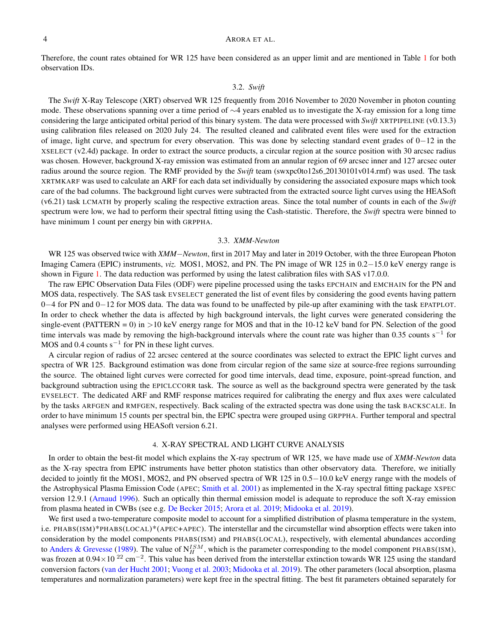Therefore, the count rates obtained for WR 125 have been considered as an upper limit and are mentioned in Table [1](#page-0-0) for both observation IDs.

#### 3.2. *Swift*

The *Swift* X-Ray Telescope (XRT) observed WR 125 frequently from 2016 November to 2020 November in photon counting mode. These observations spanning over a time period of ∼4 years enabled us to investigate the X-ray emission for a long time considering the large anticipated orbital period of this binary system. The data were processed with *Swift* XRTPIPELINE (v0.13.3) using calibration files released on 2020 July 24. The resulted cleaned and calibrated event files were used for the extraction of image, light curve, and spectrum for every observation. This was done by selecting standard event grades of 0−12 in the XSELECT (v2.4d) package. In order to extract the source products, a circular region at the source position with 30 arcsec radius was chosen. However, background X-ray emission was estimated from an annular region of 69 arcsec inner and 127 arcsec outer radius around the source region. The RMF provided by the *Swift* team (swxpc0to12s6 20130101v014.rmf) was used. The task XRTMKARF was used to calculate an ARF for each data set individually by considering the associated exposure maps which took care of the bad columns. The background light curves were subtracted from the extracted source light curves using the HEASoft (v6.21) task LCMATH by properly scaling the respective extraction areas. Since the total number of counts in each of the *Swift* spectrum were low, we had to perform their spectral fitting using the Cash-statistic. Therefore, the *Swift* spectra were binned to have minimum 1 count per energy bin with GRPPHA.

## 3.3. *XMM-Newton*

WR 125 was observed twice with *XMM*−*Newton*, first in 2017 May and later in 2019 October, with the three European Photon Imaging Camera (EPIC) instruments, *viz.* MOS1, MOS2, and PN. The PN image of WR 125 in 0.2−15.0 keV energy range is shown in Figure [1.](#page-15-0) The data reduction was performed by using the latest calibration files with SAS v17.0.0.

The raw EPIC Observation Data Files (ODF) were pipeline processed using the tasks EPCHAIN and EMCHAIN for the PN and MOS data, respectively. The SAS task EVSELECT generated the list of event files by considering the good events having pattern 0−4 for PN and 0−12 for MOS data. The data was found to be unaffected by pile-up after examining with the task EPATPLOT. In order to check whether the data is affected by high background intervals, the light curves were generated considering the single-event (PATTERN = 0) in  $>10$  keV energy range for MOS and that in the 10-12 keV band for PN. Selection of the good time intervals was made by removing the high-background intervals where the count rate was higher than 0.35 counts s<sup>-1</sup> for MOS and 0.4 counts  $s^{-1}$  for PN in these light curves.

A circular region of radius of 22 arcsec centered at the source coordinates was selected to extract the EPIC light curves and spectra of WR 125. Background estimation was done from circular region of the same size at source-free regions surrounding the source. The obtained light curves were corrected for good time intervals, dead time, exposure, point-spread function, and background subtraction using the EPICLCCORR task. The source as well as the background spectra were generated by the task EVSELECT. The dedicated ARF and RMF response matrices required for calibrating the energy and flux axes were calculated by the tasks ARFGEN and RMFGEN, respectively. Back scaling of the extracted spectra was done using the task BACKSCALE. In order to have minimum 15 counts per spectral bin, the EPIC spectra were grouped using GRPPHA. Further temporal and spectral analyses were performed using HEASoft version 6.21.

## 4. X-RAY SPECTRAL AND LIGHT CURVE ANALYSIS

<span id="page-3-0"></span>In order to obtain the best-fit model which explains the X-ray spectrum of WR 125, we have made use of *XMM-Newton* data as the X-ray spectra from EPIC instruments have better photon statistics than other observatory data. Therefore, we initially decided to jointly fit the MOS1, MOS2, and PN observed spectra of WR 125 in 0.5−10.0 keV energy range with the models of the Astrophysical Plasma Emission Code (APEC; [Smith et al.](#page-10-12) [2001\)](#page-10-12) as implemented in the X-ray spectral fitting package XSPEC version 12.9.1 [\(Arnaud](#page-9-19) [1996\)](#page-9-19). Such an optically thin thermal emission model is adequate to reproduce the soft X-ray emission from plasma heated in CWBs (see e.g. [De Becker](#page-9-20) [2015;](#page-9-20) [Arora et al.](#page-9-21) [2019;](#page-9-21) [Midooka et al.](#page-9-13) [2019\)](#page-9-13).

We first used a two-temperature composite model to account for a simplified distribution of plasma temperature in the system, i.e. PHABS(ISM)\*PHABS(LOCAL)\*(APEC+APEC). The interstellar and the circumstellar wind absorption effects were taken into consideration by the model components PHABS(ISM) and PHABS(LOCAL), respectively, with elemental abundances according to [Anders & Grevesse](#page-9-22) [\(1989\)](#page-9-22). The value of  $N_H^{ISM}$ , which is the parameter corresponding to the model component PHABS(ISM), was frozen at  $0.94\times10^{22}$  cm<sup>-2</sup>. This value has been derived from the interstellar extinction towards WR 125 using the standard conversion factors [\(van der Hucht](#page-10-5) [2001;](#page-10-5) [Vuong et al.](#page-10-13) [2003;](#page-10-13) [Midooka et al.](#page-9-13) [2019\)](#page-9-13). The other parameters (local absorption, plasma temperatures and normalization parameters) were kept free in the spectral fitting. The best fit parameters obtained separately for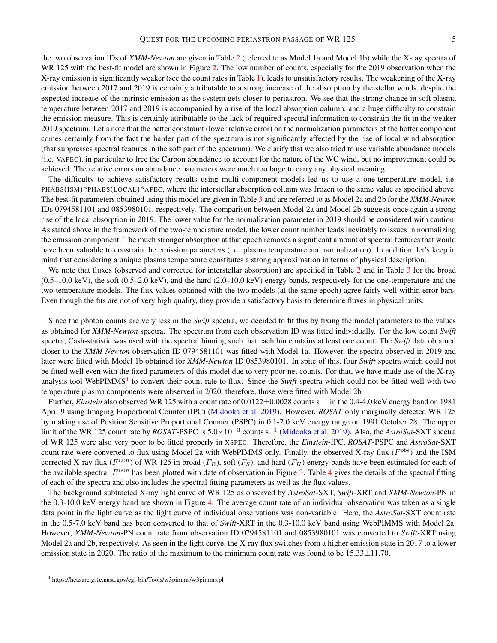the two observation IDs of *XMM-Newton* are given in Table [2](#page-11-0) (referred to as Model 1a and Model 1b) while the X-ray spectra of WR 125 with the best-fit model are shown in Figure [2.](#page-16-0) The low number of counts, especially for the 2019 observation when the X-ray emission is significantly weaker (see the count rates in Table [1\)](#page-0-0), leads to unsatisfactory results. The weakening of the X-ray emission between 2017 and 2019 is certainly attributable to a strong increase of the absorption by the stellar winds, despite the expected increase of the intrinsic emission as the system gets closer to periastron. We see that the strong change in soft plasma temperature between 2017 and 2019 is accompanied by a rise of the local absorption column, and a huge difficulty to constrain the emission measure. This is certainly attributable to the lack of required spectral information to constrain the fit in the weaker 2019 spectrum. Let's note that the better constraint (lower relative error) on the normalization parameters of the hotter component comes certainly from the fact the harder part of the spectrum is not significantly affected by the rise of local wind absorption (that suppresses spectral features in the soft part of the spectrum). We clarify that we also tried to use variable abundance models (i.e. VAPEC), in particular to free the Carbon abundance to account for the nature of the WC wind, but no improvement could be achieved. The relative errors on abundance parameters were much too large to carry any physical meaning.

The difficulty to achieve satisfactory results using multi-component models led us to use a one-temperature model, i.e. PHABS(ISM)\*PHABS(LOCAL)\*APEC, where the interstellar absorption column was frozen to the same value as specified above. The best-fit parameters obtained using this model are given in Table [3](#page-11-0) and are referred to as Model 2a and 2b for the *XMM-Newton* IDs 0794581101 and 0853980101, respectively. The comparison between Model 2a and Model 2b suggests once again a strong rise of the local absorption in 2019. The lower value for the normalization parameter in 2019 should be considered with caution. As stated above in the framework of the two-temperature model, the lower count number leads inevitably to issues in normalizing the emission component. The much stronger absorption at that epoch removes a significant amount of spectral features that would have been valuable to constrain the emission parameters (i.e. plasma temperature and normalization). In addition, let's keep in mind that considering a unique plasma temperature constitutes a strong approximation in terms of physical description.

We note that fluxes (observed and corrected for interstellar absorption) are specified in Table [2](#page-11-0) and in Table [3](#page-11-0) for the broad  $(0.5-10.0 \text{ keV})$ , the soft  $(0.5-2.0 \text{ keV})$ , and the hard  $(2.0-10.0 \text{ keV})$  energy bands, respectively for the one-temperature and the two-temperature models. The flux values obtained with the two models (at the same epoch) agree fairly well within error bars. Even though the fits are not of very high quality, they provide a satisfactory basis to determine fluxes in physical units.

Since the photon counts are very less in the *Swift* spectra, we decided to fit this by fixing the model parameters to the values as obtained for *XMM-Newton* spectra. The spectrum from each observation ID was fitted individually. For the low count *Swift* spectra, Cash-statistic was used with the spectral binning such that each bin contains at least one count. The *Swift* data obtained closer to the *XMM-Newton* observation ID 0794581101 was fitted with Model 1a. However, the spectra observed in 2019 and later were fitted with Model 1b obtained for *XMM-Newton* ID 0853980101. In spite of this, four *Swift* spectra which could not be fitted well even with the fixed parameters of this model due to very poor net counts. For that, we have made use of the X-ray analysis tool WebPIMMS<sup>[4](#page-4-0)</sup> to convert their count rate to flux. Since the *Swift* spectra which could not be fitted well with two temperature plasma components were observed in 2020, therefore, those were fitted with Model 2b.

Further, *Einstein* also observed WR 125 with a count rate of 0.0122±0.0028 counts s<sup>−</sup><sup>1</sup> in the 0.4-4.0 keV energy band on 1981 April 9 using Imaging Proportional Counter (IPC) [\(Midooka et al.](#page-9-13) [2019\)](#page-9-13). However, *ROSAT* only marginally detected WR 125 by making use of Position Sensitive Proportional Counter (PSPC) in 0.1-2.0 keV energy range on 1991 October 28. The upper limit of the WR 125 count rate by *ROSAT*-PSPC is 5.0×10<sup>−</sup><sup>3</sup> counts s<sup>−</sup><sup>1</sup> [\(Midooka et al.](#page-9-13) [2019\)](#page-9-13). Also, the *AstroSat*-SXT spectra of WR 125 were also very poor to be fitted properly in XSPEC. Therefore, the *Einstein*-IPC, *ROSAT*-PSPC and *AstroSat*-SXT count rate were converted to flux using Model 2a with WebPIMMS only. Finally, the observed X-ray flux ( $F^{obs}$ ) and the ISM corrected X-ray flux ( $F^{ism}$ ) of WR 125 in broad ( $F_B$ ), soft ( $F_S$ ), and hard ( $F_H$ ) energy bands have been estimated for each of the available spectra.  $F^{ism}$  has been plotted with date of observation in Figure [3.](#page-17-0) Table [4](#page-11-0) gives the details of the spectral fitting of each of the spectra and also includes the spectral fitting parameters as well as the flux values.

The background subtracted X-ray light curve of WR 125 as observed by *AstroSat*-SXT, *Swift*-XRT and *XMM-Newton*-PN in the 0.3-10.0 keV energy band are shown in Figure [4.](#page-17-1) The average count rate of an individual observation was taken as a single data point in the light curve as the light curve of individual observations was non-variable. Here, the *AstroSat*-SXT count rate in the 0.5-7.0 keV band has been converted to that of *Swift*-XRT in the 0.3-10.0 keV band using WebPIMMS with Model 2a. However, *XMM-Newton*-PN count rate from observation ID 0794581101 and 0853980101 was converted to *Swift*-XRT using Model 2a and 2b, respectively. As seen in the light curve, the X-ray flux switches from a higher emission state in 2017 to a lower emission state in 2020. The ratio of the maximum to the minimum count rate was found to be  $15.33 \pm 11.70$ .

<span id="page-4-0"></span><sup>4</sup> https://heasarc.gsfc.nasa.gov/cgi-bin/Tools/w3pimms/w3pimms.pl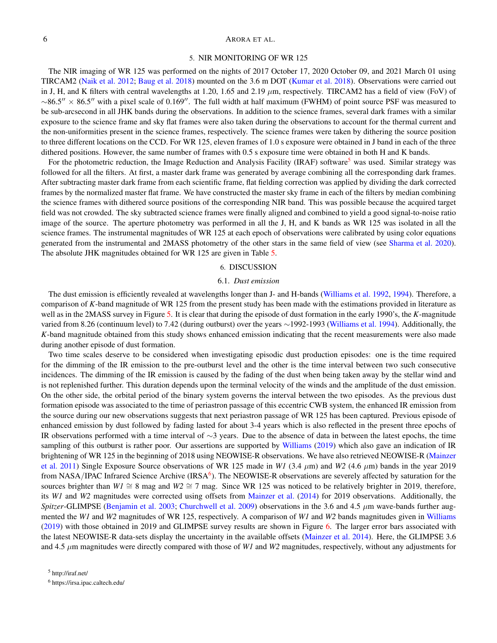### 5. NIR MONITORING OF WR 125

<span id="page-5-0"></span>The NIR imaging of WR 125 was performed on the nights of 2017 October 17, 2020 October 09, and 2021 March 01 using TIRCAM2 [\(Naik et al.](#page-9-23) [2012;](#page-9-23) [Baug et al.](#page-9-24) [2018\)](#page-9-24) mounted on the 3.6 m DOT [\(Kumar et al.](#page-9-25) [2018\)](#page-9-25). Observations were carried out in J, H, and K filters with central wavelengths at 1.20, 1.65 and 2.19  $\mu$ m, respectively. TIRCAM2 has a field of view (FoV) of  $\sim$ 86.5" × 86.5" with a pixel scale of 0.169". The full width at half maximum (FWHM) of point source PSF was measured to be sub-arcsecond in all JHK bands during the observations. In addition to the science frames, several dark frames with a similar exposure to the science frame and sky flat frames were also taken during the observations to account for the thermal current and the non-uniformities present in the science frames, respectively. The science frames were taken by dithering the source position to three different locations on the CCD. For WR 125, eleven frames of 1.0 s exposure were obtained in J band in each of the three dithered positions. However, the same number of frames with 0.5 s exposure time were obtained in both H and K bands.

For the photometric reduction, the Image Reduction and Analysis Facility (IRAF) software<sup>[5](#page-5-2)</sup> was used. Similar strategy was followed for all the filters. At first, a master dark frame was generated by average combining all the corresponding dark frames. After subtracting master dark frame from each scientific frame, flat fielding correction was applied by dividing the dark corrected frames by the normalized master flat frame. We have constructed the master sky frame in each of the filters by median combining the science frames with dithered source positions of the corresponding NIR band. This was possible because the acquired target field was not crowded. The sky subtracted science frames were finally aligned and combined to yield a good signal-to-noise ratio image of the source. The aperture photometry was performed in all the J, H, and K bands as WR 125 was isolated in all the science frames. The instrumental magnitudes of WR 125 at each epoch of observations were calibrated by using color equations generated from the instrumental and 2MASS photometry of the other stars in the same field of view (see [Sharma et al.](#page-9-26) [2020\)](#page-9-26). The absolute JHK magnitudes obtained for WR 125 are given in Table [5.](#page-11-0)

#### 6. DISCUSSION

## 6.1. *Dust emission*

<span id="page-5-4"></span><span id="page-5-1"></span>The dust emission is efficiently revealed at wavelengths longer than J- and H-bands [\(Williams et al.](#page-10-6) [1992,](#page-10-6) [1994\)](#page-10-7). Therefore, a comparison of *K*-band magnitude of WR 125 from the present study has been made with the estimations provided in literature as well as in the 2MASS survey in Figure [5.](#page-18-0) It is clear that during the episode of dust formation in the early 1990's, the *K*-magnitude varied from 8.26 (continuum level) to 7.42 (during outburst) over the years ∼1992-1993 [\(Williams et al.](#page-10-7) [1994\)](#page-10-7). Additionally, the *K*-band magnitude obtained from this study shows enhanced emission indicating that the recent measurements were also made during another episode of dust formation.

Two time scales deserve to be considered when investigating episodic dust production episodes: one is the time required for the dimming of the IR emission to the pre-outburst level and the other is the time interval between two such consecutive incidences. The dimming of the IR emission is caused by the fading of the dust when being taken away by the stellar wind and is not replenished further. This duration depends upon the terminal velocity of the winds and the amplitude of the dust emission. On the other side, the orbital period of the binary system governs the interval between the two episodes. As the previous dust formation episode was associated to the time of periastron passage of this eccentric CWB system, the enhanced IR emission from the source during our new observations suggests that next periastron passage of WR 125 has been captured. Previous episode of enhanced emission by dust followed by fading lasted for about 3-4 years which is also reflected in the present three epochs of IR observations performed with a time interval of ∼3 years. Due to the absence of data in between the latest epochs, the time sampling of this outburst is rather poor. Our assertions are supported by [Williams](#page-10-9) [\(2019\)](#page-10-9) which also gave an indication of IR brightening of WR 125 in the beginning of 2018 using NEOWISE-R observations. We have also retrieved NEOWISE-R [\(Mainzer](#page-9-27) [et al.](#page-9-27) [2011\)](#page-9-27) Single Exposure Source observations of WR 125 made in *W1* (3.4  $\mu$ m) and *W2* (4.6  $\mu$ m) bands in the year 2019 from NASA/IPAC Infrared Science Archive (IRSA<sup>[6](#page-5-3)</sup>). The NEOWISE-R observations are severely affected by saturation for the sources brighter than *W1* ≅ 8 mag and *W2* ≅ 7 mag. Since WR 125 was noticed to be relatively brighter in 2019, therefore, its *W1* and *W2* magnitudes were corrected using offsets from [Mainzer et al.](#page-9-28) [\(2014\)](#page-9-28) for 2019 observations. Additionally, the *Spitzer*-GLIMPSE [\(Benjamin et al.](#page-9-29) [2003;](#page-9-29) [Churchwell et al.](#page-9-30) [2009\)](#page-9-30) observations in the 3.6 and 4.5  $\mu$ m wave-bands further augmented the *W1* and *W2* magnitudes of WR 125, respectively. A comparison of *W1* and *W2* bands magnitudes given in [Williams](#page-10-9) [\(2019\)](#page-10-9) with those obtained in 2019 and GLIMPSE survey results are shown in Figure [6.](#page-18-1) The larger error bars associated with the latest NEOWISE-R data-sets display the uncertainty in the available offsets [\(Mainzer et al.](#page-9-28) [2014\)](#page-9-28). Here, the GLIMPSE 3.6 and 4.5  $\mu$ m magnitudes were directly compared with those of *W1* and *W2* magnitudes, respectively, without any adjustments for

<span id="page-5-3"></span><span id="page-5-2"></span><sup>6</sup> https://irsa.ipac.caltech.edu/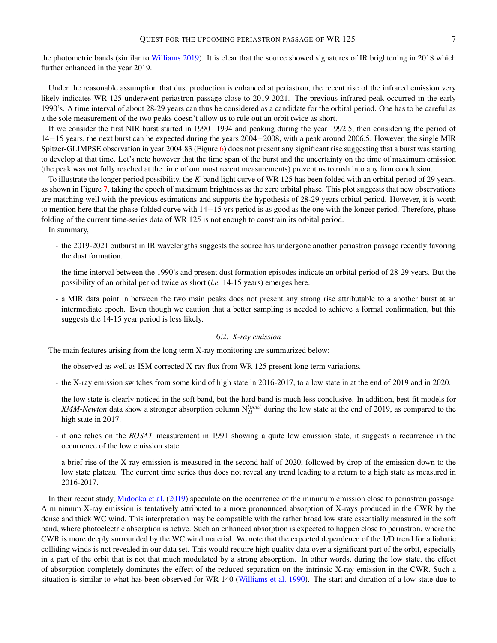the photometric bands (similar to [Williams](#page-10-9) [2019\)](#page-10-9). It is clear that the source showed signatures of IR brightening in 2018 which further enhanced in the year 2019.

Under the reasonable assumption that dust production is enhanced at periastron, the recent rise of the infrared emission very likely indicates WR 125 underwent periastron passage close to 2019-2021. The previous infrared peak occurred in the early 1990's. A time interval of about 28-29 years can thus be considered as a candidate for the orbital period. One has to be careful as a the sole measurement of the two peaks doesn't allow us to rule out an orbit twice as short.

If we consider the first NIR burst started in 1990−1994 and peaking during the year 1992.5, then considering the period of 14−15 years, the next burst can be expected during the years 2004−2008, with a peak around 2006.5. However, the single MIR Spitzer-GLIMPSE observation in year 2004.83 (Figure [6\)](#page-18-1) does not present any significant rise suggesting that a burst was starting to develop at that time. Let's note however that the time span of the burst and the uncertainty on the time of maximum emission (the peak was not fully reached at the time of our most recent measurements) prevent us to rush into any firm conclusion.

To illustrate the longer period possibility, the *K*-band light curve of WR 125 has been folded with an orbital period of 29 years, as shown in Figure [7,](#page-19-0) taking the epoch of maximum brightness as the zero orbital phase. This plot suggests that new observations are matching well with the previous estimations and supports the hypothesis of 28-29 years orbital period. However, it is worth to mention here that the phase-folded curve with 14−15 yrs period is as good as the one with the longer period. Therefore, phase folding of the current time-series data of WR 125 is not enough to constrain its orbital period.

In summary,

- the 2019-2021 outburst in IR wavelengths suggests the source has undergone another periastron passage recently favoring the dust formation.
- the time interval between the 1990's and present dust formation episodes indicate an orbital period of 28-29 years. But the possibility of an orbital period twice as short (*i.e.* 14-15 years) emerges here.
- a MIR data point in between the two main peaks does not present any strong rise attributable to a another burst at an intermediate epoch. Even though we caution that a better sampling is needed to achieve a formal confirmation, but this suggests the 14-15 year period is less likely.

## 6.2. *X-ray emission*

<span id="page-6-0"></span>The main features arising from the long term X-ray monitoring are summarized below:

- the observed as well as ISM corrected X-ray flux from WR 125 present long term variations.
- the X-ray emission switches from some kind of high state in 2016-2017, to a low state in at the end of 2019 and in 2020.
- the low state is clearly noticed in the soft band, but the hard band is much less conclusive. In addition, best-fit models for *XMM-Newton* data show a stronger absorption column  $N_H^{local}$  during the low state at the end of 2019, as compared to the high state in 2017.
- if one relies on the *ROSAT* measurement in 1991 showing a quite low emission state, it suggests a recurrence in the occurrence of the low emission state.
- a brief rise of the X-ray emission is measured in the second half of 2020, followed by drop of the emission down to the low state plateau. The current time series thus does not reveal any trend leading to a return to a high state as measured in 2016-2017.

In their recent study, [Midooka et al.](#page-9-13) [\(2019\)](#page-9-13) speculate on the occurrence of the minimum emission close to periastron passage. A minimum X-ray emission is tentatively attributed to a more pronounced absorption of X-rays produced in the CWR by the dense and thick WC wind. This interpretation may be compatible with the rather broad low state essentially measured in the soft band, where photoelectric absorption is active. Such an enhanced absorption is expected to happen close to periastron, where the CWR is more deeply surrounded by the WC wind material. We note that the expected dependence of the 1/D trend for adiabatic colliding winds is not revealed in our data set. This would require high quality data over a significant part of the orbit, especially in a part of the orbit that is not that much modulated by a strong absorption. In other words, during the low state, the effect of absorption completely dominates the effect of the reduced separation on the intrinsic X-ray emission in the CWR. Such a situation is similar to what has been observed for WR 140 [\(Williams et al.](#page-10-2) [1990\)](#page-10-2). The start and duration of a low state due to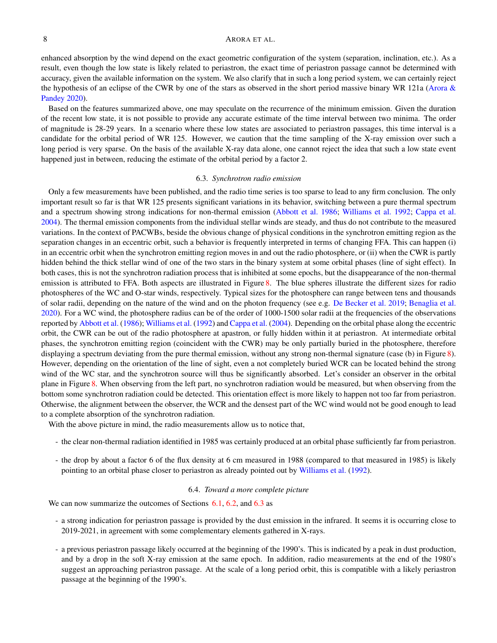enhanced absorption by the wind depend on the exact geometric configuration of the system (separation, inclination, etc.). As a result, even though the low state is likely related to periastron, the exact time of periastron passage cannot be determined with accuracy, given the available information on the system. We also clarify that in such a long period system, we can certainly reject the hypothesis of an eclipse of the CWR by one of the stars as observed in the short period massive binary WR 121a [\(Arora &](#page-9-31) [Pandey](#page-9-31) [2020\)](#page-9-31).

Based on the features summarized above, one may speculate on the recurrence of the minimum emission. Given the duration of the recent low state, it is not possible to provide any accurate estimate of the time interval between two minima. The order of magnitude is 28-29 years. In a scenario where these low states are associated to periastron passages, this time interval is a candidate for the orbital period of WR 125. However, we caution that the time sampling of the X-ray emission over such a long period is very sparse. On the basis of the available X-ray data alone, one cannot reject the idea that such a low state event happened just in between, reducing the estimate of the orbital period by a factor 2.

#### 6.3. *Synchrotron radio emission*

<span id="page-7-0"></span>Only a few measurements have been published, and the radio time series is too sparse to lead to any firm conclusion. The only important result so far is that WR 125 presents significant variations in its behavior, switching between a pure thermal spectrum and a spectrum showing strong indications for non-thermal emission [\(Abbott et al.](#page-9-14) [1986;](#page-9-14) [Williams et al.](#page-10-6) [1992;](#page-10-6) [Cappa et al.](#page-9-15) [2004\)](#page-9-15). The thermal emission components from the individual stellar winds are steady, and thus do not contribute to the measured variations. In the context of PACWBs, beside the obvious change of physical conditions in the synchrotron emitting region as the separation changes in an eccentric orbit, such a behavior is frequently interpreted in terms of changing FFA. This can happen (i) in an eccentric orbit when the synchrotron emitting region moves in and out the radio photosphere, or (ii) when the CWR is partly hidden behind the thick stellar wind of one of the two stars in the binary system at some orbital phases (line of sight effect). In both cases, this is not the synchrotron radiation process that is inhibited at some epochs, but the disappearance of the non-thermal emission is attributed to FFA. Both aspects are illustrated in Figure [8.](#page-19-1) The blue spheres illustrate the different sizes for radio photospheres of the WC and O-star winds, respectively. Typical sizes for the photosphere can range between tens and thousands of solar radii, depending on the nature of the wind and on the photon frequency (see e.g. [De Becker et al.](#page-9-32) [2019;](#page-9-32) [Benaglia et al.](#page-9-33) [2020\)](#page-9-33). For a WC wind, the photosphere radius can be of the order of 1000-1500 solar radii at the frequencies of the observations reported by [Abbott et al.](#page-9-14) [\(1986\)](#page-9-14); [Williams et al.](#page-10-6) [\(1992\)](#page-10-6) and [Cappa et al.](#page-9-15) [\(2004\)](#page-9-15). Depending on the orbital phase along the eccentric orbit, the CWR can be out of the radio photosphere at apastron, or fully hidden within it at periastron. At intermediate orbital phases, the synchrotron emitting region (coincident with the CWR) may be only partially buried in the photosphere, therefore displaying a spectrum deviating from the pure thermal emission, without any strong non-thermal signature (case (b) in Figure [8\)](#page-19-1). However, depending on the orientation of the line of sight, even a not completely buried WCR can be located behind the strong wind of the WC star, and the synchrotron source will thus be significantly absorbed. Let's consider an observer in the orbital plane in Figure [8.](#page-19-1) When observing from the left part, no synchrotron radiation would be measured, but when observing from the bottom some synchrotron radiation could be detected. This orientation effect is more likely to happen not too far from periastron. Otherwise, the alignment between the observer, the WCR and the densest part of the WC wind would not be good enough to lead to a complete absorption of the synchrotron radiation.

With the above picture in mind, the radio measurements allow us to notice that,

- the clear non-thermal radiation identified in 1985 was certainly produced at an orbital phase sufficiently far from periastron.
- the drop by about a factor 6 of the flux density at 6 cm measured in 1988 (compared to that measured in 1985) is likely pointing to an orbital phase closer to periastron as already pointed out by [Williams et al.](#page-10-6) [\(1992\)](#page-10-6).

## 6.4. *Toward a more complete picture*

We can now summarize the outcomes of Sections [6.1,](#page-5-4) [6.2,](#page-6-0) and [6.3](#page-7-0) as

- a strong indication for periastron passage is provided by the dust emission in the infrared. It seems it is occurring close to 2019-2021, in agreement with some complementary elements gathered in X-rays.
- a previous periastron passage likely occurred at the beginning of the 1990's. This is indicated by a peak in dust production, and by a drop in the soft X-ray emission at the same epoch. In addition, radio measurements at the end of the 1980's suggest an approaching periastron passage. At the scale of a long period orbit, this is compatible with a likely periastron passage at the beginning of the 1990's.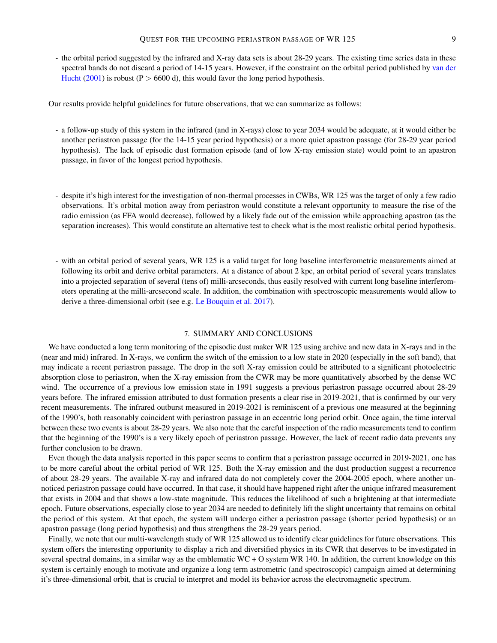- the orbital period suggested by the infrared and X-ray data sets is about 28-29 years. The existing time series data in these spectral bands do not discard a period of 14-15 years. However, if the constraint on the orbital period published by [van der](#page-10-5) [Hucht](#page-10-5) [\(2001\)](#page-10-5) is robust ( $P > 6600$  d), this would favor the long period hypothesis.

Our results provide helpful guidelines for future observations, that we can summarize as follows:

- a follow-up study of this system in the infrared (and in X-rays) close to year 2034 would be adequate, at it would either be another periastron passage (for the 14-15 year period hypothesis) or a more quiet apastron passage (for 28-29 year period hypothesis). The lack of episodic dust formation episode (and of low X-ray emission state) would point to an apastron passage, in favor of the longest period hypothesis.
- despite it's high interest for the investigation of non-thermal processes in CWBs, WR 125 was the target of only a few radio observations. It's orbital motion away from periastron would constitute a relevant opportunity to measure the rise of the radio emission (as FFA would decrease), followed by a likely fade out of the emission while approaching apastron (as the separation increases). This would constitute an alternative test to check what is the most realistic orbital period hypothesis.
- with an orbital period of several years, WR 125 is a valid target for long baseline interferometric measurements aimed at following its orbit and derive orbital parameters. At a distance of about 2 kpc, an orbital period of several years translates into a projected separation of several (tens of) milli-arcseconds, thus easily resolved with current long baseline interferometers operating at the milli-arcsecond scale. In addition, the combination with spectroscopic measurements would allow to derive a three-dimensional orbit (see e.g. [Le Bouquin et al.](#page-9-34) [2017\)](#page-9-34).

## 7. SUMMARY AND CONCLUSIONS

<span id="page-8-0"></span>We have conducted a long term monitoring of the episodic dust maker WR 125 using archive and new data in X-rays and in the (near and mid) infrared. In X-rays, we confirm the switch of the emission to a low state in 2020 (especially in the soft band), that may indicate a recent periastron passage. The drop in the soft X-ray emission could be attributed to a significant photoelectric absorption close to periastron, when the X-ray emission from the CWR may be more quantitatively absorbed by the dense WC wind. The occurrence of a previous low emission state in 1991 suggests a previous periastron passage occurred about 28-29 years before. The infrared emission attributed to dust formation presents a clear rise in 2019-2021, that is confirmed by our very recent measurements. The infrared outburst measured in 2019-2021 is reminiscent of a previous one measured at the beginning of the 1990's, both reasonably coincident with periastron passage in an eccentric long period orbit. Once again, the time interval between these two events is about 28-29 years. We also note that the careful inspection of the radio measurements tend to confirm that the beginning of the 1990's is a very likely epoch of periastron passage. However, the lack of recent radio data prevents any further conclusion to be drawn.

Even though the data analysis reported in this paper seems to confirm that a periastron passage occurred in 2019-2021, one has to be more careful about the orbital period of WR 125. Both the X-ray emission and the dust production suggest a recurrence of about 28-29 years. The available X-ray and infrared data do not completely cover the 2004-2005 epoch, where another unnoticed periastron passage could have occurred. In that case, it should have happened right after the unique infrared measurement that exists in 2004 and that shows a low-state magnitude. This reduces the likelihood of such a brightening at that intermediate epoch. Future observations, especially close to year 2034 are needed to definitely lift the slight uncertainty that remains on orbital the period of this system. At that epoch, the system will undergo either a periastron passage (shorter period hypothesis) or an apastron passage (long period hypothesis) and thus strengthens the 28-29 years period.

Finally, we note that our multi-wavelength study of WR 125 allowed us to identify clear guidelines for future observations. This system offers the interesting opportunity to display a rich and diversified physics in its CWR that deserves to be investigated in several spectral domains, in a similar way as the emblematic  $WC + O$  system WR 140. In addition, the current knowledge on this system is certainly enough to motivate and organize a long term astrometric (and spectroscopic) campaign aimed at determining it's three-dimensional orbit, that is crucial to interpret and model its behavior across the electromagnetic spectrum.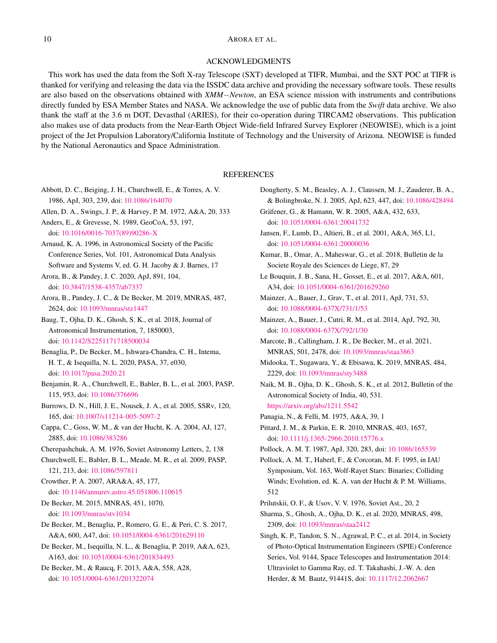## ACKNOWLEDGMENTS

This work has used the data from the Soft X-ray Telescope (SXT) developed at TIFR, Mumbai, and the SXT POC at TIFR is thanked for verifying and releasing the data via the ISSDC data archive and providing the necessary software tools. These results are also based on the observations obtained with *XMM*−*Newton*, an ESA science mission with instruments and contributions directly funded by ESA Member States and NASA. We acknowledge the use of public data from the *Swift* data archive. We also thank the staff at the 3.6 m DOT, Devasthal (ARIES), for their co-operation during TIRCAM2 observations. This publication also makes use of data products from the Near-Earth Object Wide-field Infrared Survey Explorer (NEOWISE), which is a joint project of the Jet Propulsion Laboratory/California Institute of Technology and the University of Arizona. NEOWISE is funded by the National Aeronautics and Space Administration.

# **REFERENCES**

- <span id="page-9-14"></span>Abbott, D. C., Beiging, J. H., Churchwell, E., & Torres, A. V. 1986, ApJ, 303, 239, doi: [10.1086/164070](http://doi.org/10.1086/164070)
- <span id="page-9-2"></span>Allen, D. A., Swings, J. P., & Harvey, P. M. 1972, A&A, 20, 333
- <span id="page-9-22"></span>Anders, E., & Grevesse, N. 1989, GeoCoA, 53, 197,

doi: [10.1016/0016-7037\(89\)90286-X](http://doi.org/10.1016/0016-7037(89)90286-X)

- <span id="page-9-19"></span>Arnaud, K. A. 1996, in Astronomical Society of the Pacific Conference Series, Vol. 101, Astronomical Data Analysis Software and Systems V, ed. G. H. Jacoby & J. Barnes, 17
- <span id="page-9-31"></span>Arora, B., & Pandey, J. C. 2020, ApJ, 891, 104, doi: [10.3847/1538-4357/ab7337](http://doi.org/10.3847/1538-4357/ab7337)
- <span id="page-9-21"></span>Arora, B., Pandey, J. C., & De Becker, M. 2019, MNRAS, 487, 2624, doi: [10.1093/mnras/stz1447](http://doi.org/10.1093/mnras/stz1447)
- <span id="page-9-24"></span>Baug, T., Ojha, D. K., Ghosh, S. K., et al. 2018, Journal of Astronomical Instrumentation, 7, 1850003, doi: [10.1142/S2251171718500034](http://doi.org/10.1142/S2251171718500034)
- <span id="page-9-33"></span>Benaglia, P., De Becker, M., Ishwara-Chandra, C. H., Intema, H. T., & Isequilla, N. L. 2020, PASA, 37, e030, doi: [10.1017/pasa.2020.21](http://doi.org/10.1017/pasa.2020.21)
- <span id="page-9-29"></span>Benjamin, R. A., Churchwell, E., Babler, B. L., et al. 2003, PASP, 115, 953, doi: [10.1086/376696](http://doi.org/10.1086/376696)
- <span id="page-9-17"></span>Burrows, D. N., Hill, J. E., Nousek, J. A., et al. 2005, SSRv, 120, 165, doi: [10.1007/s11214-005-5097-2](http://doi.org/10.1007/s11214-005-5097-2)
- <span id="page-9-15"></span>Cappa, C., Goss, W. M., & van der Hucht, K. A. 2004, AJ, 127, 2885, doi: [10.1086/383286](http://doi.org/10.1086/383286)
- <span id="page-9-3"></span>Cherepashchuk, A. M. 1976, Soviet Astronomy Letters, 2, 138
- <span id="page-9-30"></span>Churchwell, E., Babler, B. L., Meade, M. R., et al. 2009, PASP, 121, 213, doi: [10.1086/597811](http://doi.org/10.1086/597811)
- <span id="page-9-0"></span>Crowther, P. A. 2007, ARA&A, 45, 177, doi: [10.1146/annurev.astro.45.051806.110615](http://doi.org/10.1146/annurev.astro.45.051806.110615)
- <span id="page-9-20"></span>De Becker, M. 2015, MNRAS, 451, 1070, doi: [10.1093/mnras/stv1034](http://doi.org/10.1093/mnras/stv1034)
- <span id="page-9-8"></span>De Becker, M., Benaglia, P., Romero, G. E., & Peri, C. S. 2017, A&A, 600, A47, doi: [10.1051/0004-6361/201629110](http://doi.org/10.1051/0004-6361/201629110)
- <span id="page-9-32"></span>De Becker, M., Isequilla, N. L., & Benaglia, P. 2019, A&A, 623, A163, doi: [10.1051/0004-6361/201834493](http://doi.org/10.1051/0004-6361/201834493)
- <span id="page-9-7"></span>De Becker, M., & Raucq, F. 2013, A&A, 558, A28, doi: [10.1051/0004-6361/201322074](http://doi.org/10.1051/0004-6361/201322074)
- <span id="page-9-9"></span>Dougherty, S. M., Beasley, A. J., Claussen, M. J., Zauderer, B. A., & Bolingbroke, N. J. 2005, ApJ, 623, 447, doi: [10.1086/428494](http://doi.org/10.1086/428494)
- <span id="page-9-1"></span>Gräfener, G., & Hamann, W. R. 2005, A&A, 432, 633, doi: [10.1051/0004-6361:20041732](http://doi.org/10.1051/0004-6361:20041732)
- <span id="page-9-18"></span>Jansen, F., Lumb, D., Altieri, B., et al. 2001, A&A, 365, L1, doi: [10.1051/0004-6361:20000036](http://doi.org/10.1051/0004-6361:20000036)
- <span id="page-9-25"></span>Kumar, B., Omar, A., Maheswar, G., et al. 2018, Bulletin de la Societe Royale des Sciences de Liege, 87, 29
- <span id="page-9-34"></span>Le Bouquin, J. B., Sana, H., Gosset, E., et al. 2017, A&A, 601, A34, doi: [10.1051/0004-6361/201629260](http://doi.org/10.1051/0004-6361/201629260)
- <span id="page-9-27"></span>Mainzer, A., Bauer, J., Grav, T., et al. 2011, ApJ, 731, 53, doi: [10.1088/0004-637X/731/1/53](http://doi.org/10.1088/0004-637X/731/1/53)
- <span id="page-9-28"></span>Mainzer, A., Bauer, J., Cutri, R. M., et al. 2014, ApJ, 792, 30, doi: [10.1088/0004-637X/792/1/30](http://doi.org/10.1088/0004-637X/792/1/30)
- <span id="page-9-10"></span>Marcote, B., Callingham, J. R., De Becker, M., et al. 2021, MNRAS, 501, 2478, doi: [10.1093/mnras/staa3863](http://doi.org/10.1093/mnras/staa3863)
- <span id="page-9-13"></span>Midooka, T., Sugawara, Y., & Ebisawa, K. 2019, MNRAS, 484, 2229, doi: [10.1093/mnras/sty3488](http://doi.org/10.1093/mnras/sty3488)
- <span id="page-9-23"></span>Naik, M. B., Ojha, D. K., Ghosh, S. K., et al. 2012, Bulletin of the Astronomical Society of India, 40, 531. <https://arxiv.org/abs/1211.5542>
- <span id="page-9-6"></span>Panagia, N., & Felli, M. 1975, A&A, 39, 1
- <span id="page-9-5"></span>Pittard, J. M., & Parkin, E. R. 2010, MNRAS, 403, 1657, doi: [10.1111/j.1365-2966.2010.15776.x](http://doi.org/10.1111/j.1365-2966.2010.15776.x)
- <span id="page-9-11"></span>Pollock, A. M. T. 1987, ApJ, 320, 283, doi: [10.1086/165539](http://doi.org/10.1086/165539)
- <span id="page-9-12"></span>Pollock, A. M. T., Haberl, F., & Corcoran, M. F. 1995, in IAU Symposium, Vol. 163, Wolf-Rayet Stars: Binaries; Colliding Winds; Evolution, ed. K. A. van der Hucht & P. M. Williams, 512
- <span id="page-9-4"></span>Prilutskii, O. F., & Usov, V. V. 1976, Soviet Ast., 20, 2
- <span id="page-9-26"></span>Sharma, S., Ghosh, A., Ojha, D. K., et al. 2020, MNRAS, 498, 2309, doi: [10.1093/mnras/staa2412](http://doi.org/10.1093/mnras/staa2412)
- <span id="page-9-16"></span>Singh, K. P., Tandon, S. N., Agrawal, P. C., et al. 2014, in Society of Photo-Optical Instrumentation Engineers (SPIE) Conference Series, Vol. 9144, Space Telescopes and Instrumentation 2014: Ultraviolet to Gamma Ray, ed. T. Takahashi, J.-W. A. den Herder, & M. Bautz, 91441S, doi: [10.1117/12.2062667](http://doi.org/10.1117/12.2062667)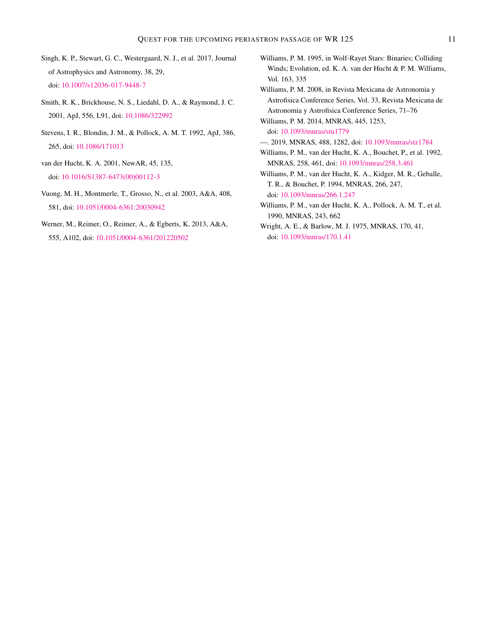- <span id="page-10-11"></span>Singh, K. P., Stewart, G. C., Westergaard, N. J., et al. 2017, Journal of Astrophysics and Astronomy, 38, 29, doi: [10.1007/s12036-017-9448-7](http://doi.org/10.1007/s12036-017-9448-7)
- <span id="page-10-12"></span>Smith, R. K., Brickhouse, N. S., Liedahl, D. A., & Raymond, J. C. 2001, ApJ, 556, L91, doi: [10.1086/322992](http://doi.org/10.1086/322992)
- <span id="page-10-3"></span>Stevens, I. R., Blondin, J. M., & Pollock, A. M. T. 1992, ApJ, 386, 265, doi: [10.1086/171013](http://doi.org/10.1086/171013)
- <span id="page-10-5"></span>van der Hucht, K. A. 2001, NewAR, 45, 135, doi: [10.1016/S1387-6473\(00\)00112-3](http://doi.org/10.1016/S1387-6473(00)00112-3)
- <span id="page-10-13"></span>Vuong, M. H., Montmerle, T., Grosso, N., et al. 2003, A&A, 408, 581, doi: [10.1051/0004-6361:20030942](http://doi.org/10.1051/0004-6361:20030942)
- <span id="page-10-10"></span>Werner, M., Reimer, O., Reimer, A., & Egberts, K. 2013, A&A, 555, A102, doi: [10.1051/0004-6361/201220502](http://doi.org/10.1051/0004-6361/201220502)
- <span id="page-10-0"></span>Williams, P. M. 1995, in Wolf-Rayet Stars: Binaries; Colliding Winds; Evolution, ed. K. A. van der Hucht & P. M. Williams, Vol. 163, 335
- <span id="page-10-1"></span>Williams, P. M. 2008, in Revista Mexicana de Astronomia y Astrofisica Conference Series, Vol. 33, Revista Mexicana de Astronomia y Astrofisica Conference Series, 71–76

<span id="page-10-8"></span>Williams, P. M. 2014, MNRAS, 445, 1253, doi: [10.1093/mnras/stu1779](http://doi.org/10.1093/mnras/stu1779)

- <span id="page-10-9"></span>—. 2019, MNRAS, 488, 1282, doi: [10.1093/mnras/stz1784](http://doi.org/10.1093/mnras/stz1784)
- <span id="page-10-6"></span>Williams, P. M., van der Hucht, K. A., Bouchet, P., et al. 1992, MNRAS, 258, 461, doi: [10.1093/mnras/258.3.461](http://doi.org/10.1093/mnras/258.3.461)
- <span id="page-10-7"></span>Williams, P. M., van der Hucht, K. A., Kidger, M. R., Geballe, T. R., & Bouchet, P. 1994, MNRAS, 266, 247, doi: [10.1093/mnras/266.1.247](http://doi.org/10.1093/mnras/266.1.247)
- <span id="page-10-2"></span>Williams, P. M., van der Hucht, K. A., Pollock, A. M. T., et al. 1990, MNRAS, 243, 662
- <span id="page-10-4"></span>Wright, A. E., & Barlow, M. J. 1975, MNRAS, 170, 41, doi: [10.1093/mnras/170.1.41](http://doi.org/10.1093/mnras/170.1.41)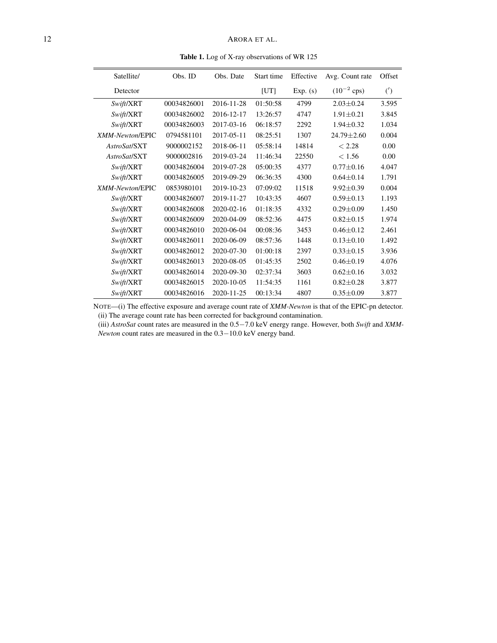<span id="page-11-0"></span>Table 1. Log of X-ray observations of WR 125

| Satellite/      | Obs. ID     | Obs. Date  | Start time | Effective | Avg. Count rate        | Offset            |
|-----------------|-------------|------------|------------|-----------|------------------------|-------------------|
| Detector        |             |            | [UT]       | Exp. (s)  | $(10^{-2} \text{cps})$ | $^{\prime\prime}$ |
| Swift/XRT       | 00034826001 | 2016-11-28 | 01:50:58   | 4799      | $2.03 + 0.24$          | 3.595             |
| Swift/XRT       | 00034826002 | 2016-12-17 | 13:26:57   | 4747      | $1.91 \pm 0.21$        | 3.845             |
| Swift/XRT       | 00034826003 | 2017-03-16 | 06:18:57   | 2292      | $1.94 \pm 0.32$        | 1.034             |
| XMM-Newton/EPIC | 0794581101  | 2017-05-11 | 08:25:51   | 1307      | $24.79 \pm 2.60$       | 0.004             |
| AstroSat/SXT    | 9000002152  | 2018-06-11 | 05:58:14   | 14814     | < 2.28                 | 0.00              |
| AstroSat/SXT    | 9000002816  | 2019-03-24 | 11:46:34   | 22550     | < 1.56                 | 0.00              |
| Swift/XRT       | 00034826004 | 2019-07-28 | 05:00:35   | 4377      | $0.77 \pm 0.16$        | 4.047             |
| Swift/XRT       | 00034826005 | 2019-09-29 | 06:36:35   | 4300      | $0.64 \pm 0.14$        | 1.791             |
| XMM-Newton/EPIC | 0853980101  | 2019-10-23 | 07:09:02   | 11518     | $9.92 \pm 0.39$        | 0.004             |
| Swift/XRT       | 00034826007 | 2019-11-27 | 10:43:35   | 4607      | $0.59 \pm 0.13$        | 1.193             |
| Swift/XRT       | 00034826008 | 2020-02-16 | 01:18:35   | 4332      | $0.29 \pm 0.09$        | 1.450             |
| Swift/XRT       | 00034826009 | 2020-04-09 | 08:52:36   | 4475      | $0.82 \pm 0.15$        | 1.974             |
| Swift/XRT       | 00034826010 | 2020-06-04 | 00:08:36   | 3453      | $0.46 \pm 0.12$        | 2.461             |
| Swift/XRT       | 00034826011 | 2020-06-09 | 08:57:36   | 1448      | $0.13 \pm 0.10$        | 1.492             |
| Swift/XRT       | 00034826012 | 2020-07-30 | 01:00:18   | 2397      | $0.33 \pm 0.15$        | 3.936             |
| Swift/XRT       | 00034826013 | 2020-08-05 | 01:45:35   | 2502      | $0.46 \pm 0.19$        | 4.076             |
| Swift/XRT       | 00034826014 | 2020-09-30 | 02:37:34   | 3603      | $0.62 \pm 0.16$        | 3.032             |
| Swift/XRT       | 00034826015 | 2020-10-05 | 11:54:35   | 1161      | $0.82 \pm 0.28$        | 3.877             |
| Swift/XRT       | 00034826016 | 2020-11-25 | 00:13:34   | 4807      | $0.35 \pm 0.09$        | 3.877             |

NOTE—(i) The effective exposure and average count rate of *XMM-Newton* is that of the EPIC-pn detector. (ii) The average count rate has been corrected for background contamination.

(iii) *AstroSat* count rates are measured in the 0.5−7.0 keV energy range. However, both *Swift* and *XMM-Newton* count rates are measured in the 0.3−10.0 keV energy band.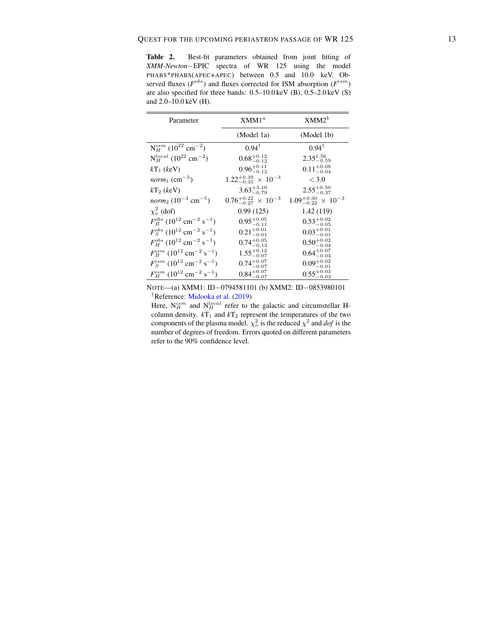Table 2. Best-fit parameters obtained from joint fitting of *XMM-Newton*−EPIC spectra of WR 125 using the model PHABS\*PHABS(APEC+APEC) between 0.5 and 10.0 keV. Observed fluxes ( $F^{obs}$ ) and fluxes corrected for ISM absorption ( $F^{ism}$ ) are also specified for three bands: 0.5–10.0 keV (B), 0.5–2.0 keV (S) and 2.0–10.0 keV (H).

| Parameter                                                        | XMM1 <sup>a</sup>                         | $XMM2^b$                              |
|------------------------------------------------------------------|-------------------------------------------|---------------------------------------|
|                                                                  | (Model 1a)                                | (Model 1b)                            |
| $N_H^{ism}$ (10 <sup>22</sup> cm <sup>-2</sup> )                 | $0.94^{\dagger}$                          | $0.94^{\dagger}$                      |
| $N_H^{local}$ (10 <sup>22</sup> cm <sup>-2</sup> )               | $0.68^{+0.12}_{-0.12}$                    | $2.35_{-0.59}^{1.56}$                 |
| $kT_1$ (keV)                                                     | $0.96^{+0.11}_{-0.12}$                    | $0.11_{-0.04}^{+0.08}$                |
| <i>norm</i> <sub>1</sub> (cm <sup>-5</sup> )                     | $1.22^{+0.39}_{-0.35} \times 10^{-3}$     | ${}_{<}3.0{}$                         |
| $kT_2$ (keV)                                                     | $3.63^{+3.10}_{-0.79}$                    | $2.55^{+0.50}_{-0.37}$                |
| <i>norm</i> <sub>2</sub> $(10^{-3}$ cm <sup>-5</sup> )           | $0.76^{+0.22}_{-0.27}$ $\times$ $10^{-3}$ | $1.09_{-0.22}^{+0.30} \times 10^{-3}$ |
| $\chi^2_{\nu}$ (dof)                                             | 0.99(125)                                 | 1.42(119)                             |
| $F_R^{obs}$ (10 <sup>12</sup> cm <sup>-2</sup> s <sup>-1</sup> ) | $0.95^{+0.05}_{-0.11}$                    | $0.53^{+0.02}_{-0.05}$                |
| $F_S^{obs}$ (10 <sup>12</sup> cm <sup>-2</sup> s <sup>-1</sup> ) | $0.21^{+0.01}_{-0.01}$                    | $0.03^{+0.01}_{-0.01}$                |
| $F_H^{obs}$ (10 <sup>12</sup> cm <sup>-2</sup> s <sup>-1</sup> ) | $0.74^{+0.05}_{-0.13}$                    | $0.50^{+0.02}_{-0.04}$                |
| $F_B^{ism}$ (10 <sup>12</sup> cm <sup>-2</sup> s <sup>-1</sup> ) | $1.55^{+0.12}_{-0.07}$                    | $0.64^{+0.07}_{-0.04}$                |
| $F_S^{ism}$ (10 <sup>12</sup> cm <sup>-2</sup> s <sup>-1</sup> ) | $0.74^{+0.07}_{-0.07}$                    | $0.09_{-0.01}^{+0.02}$                |
| $F_H^{ism}$ (10 <sup>12</sup> cm <sup>-2</sup> s <sup>-1</sup> ) | $0.84^{+0.07}_{-0.07}$                    | $0.55^{+0.03}_{-0.03}$                |

NOTE—(a) XMM1: ID−0794581101 (b) XMM2: ID−0853980101 †Reference: [Midooka et al.](#page-9-13) [\(2019\)](#page-9-13)

Here,  $N_H^{ism}$  and  $N_H^{local}$  refer to the galactic and circumstellar Hcolumn density.  $kT_1$  and  $kT_2$  represent the temperatures of the two components of the plasma model.  $\chi^2_{\nu}$  is the reduced  $\chi^2$  and *dof* is the number of degrees of freedom. Errors quoted on different parameters refer to the 90% confidence level.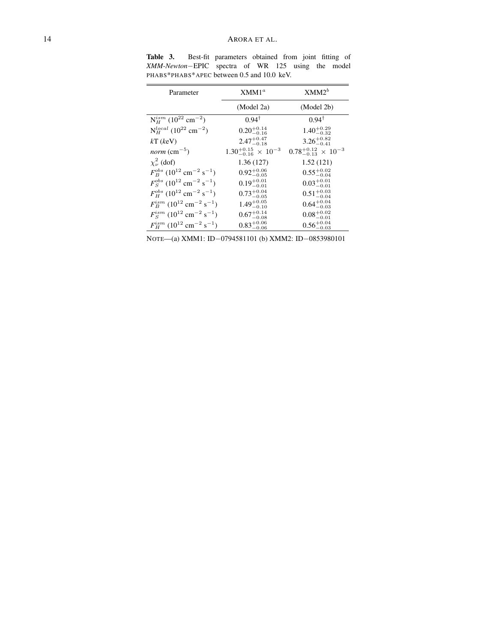| Parameter                                                          | XMM1 <sup>a</sup>                         | $XMM2^b$                           |
|--------------------------------------------------------------------|-------------------------------------------|------------------------------------|
|                                                                    | (Model 2a)                                | (Model 2b)                         |
| $N_H^{ism}$ (10 <sup>22</sup> cm <sup>-2</sup> )                   | $0.94^{\dagger}$                          | $0.94^{\dagger}$                   |
| $N_H^{local}$ (10 <sup>22</sup> cm <sup>-2</sup> )                 | $0.20^{+0.14}_{-0.16}$                    | $1.40^{+0.29}_{-0.32}$             |
| $kT$ (keV)                                                         | $2.47^{+0.47}_{-0.18}$                    | $3.26^{+0.82}_{-0.41}$             |
| <i>norm</i> ( $cm^{-5}$ )                                          | $1.30^{+0.15}_{-0.16}$ $\times$ $10^{-3}$ | $0.78^{+0.12}_{-0.13}$ × $10^{-3}$ |
| $\chi^2_{\nu}$ (dof)                                               | 1.36(127)                                 | 1.52(121)                          |
| $F_R^{obs}$ (10 <sup>12</sup> cm <sup>-2</sup> s <sup>-1</sup> )   | $0.92^{+0.06}_{-0.05}$                    | $0.55^{+0.02}_{-0.04}$             |
| $F_S^{obs}$ (10 <sup>12</sup> cm <sup>-2</sup> s <sup>-1</sup> )   | $0.19^{+0.01}_{-0.01}$                    | $0.03^{+0.01}_{-0.01}$             |
| $F_{H}^{obs}$ (10 <sup>12</sup> cm <sup>-2</sup> s <sup>-1</sup> ) | $0.73^{+0.04}_{-0.05}$                    | $0.51^{+0.03}_{-0.04}$             |
| $F_B^{ism}$ (10 <sup>12</sup> cm <sup>-2</sup> s <sup>-1</sup> )   | $1.49^{+0.05}_{-0.10}$                    | $0.64^{+0.04}_{-0.03}$             |
| $F_S^{ism}$ (10 <sup>12</sup> cm <sup>-2</sup> s <sup>-1</sup> )   | $0.67^{+0.14}_{-0.08}$                    | $0.08^{+0.02}_{-0.01}$             |
| $F_H^{ism}$ (10 <sup>12</sup> cm <sup>-2</sup> s <sup>-1</sup> )   | $0.83^{+0.06}_{-0.06}$                    | $0.56_{-0.03}^{+0.04}$             |

Table 3. Best-fit parameters obtained from joint fitting of *XMM-Newton*−EPIC spectra of WR 125 using the model PHABS\*PHABS\*APEC between 0.5 and 10.0 keV.

NOTE—(a) XMM1: ID−0794581101 (b) XMM2: ID−0853980101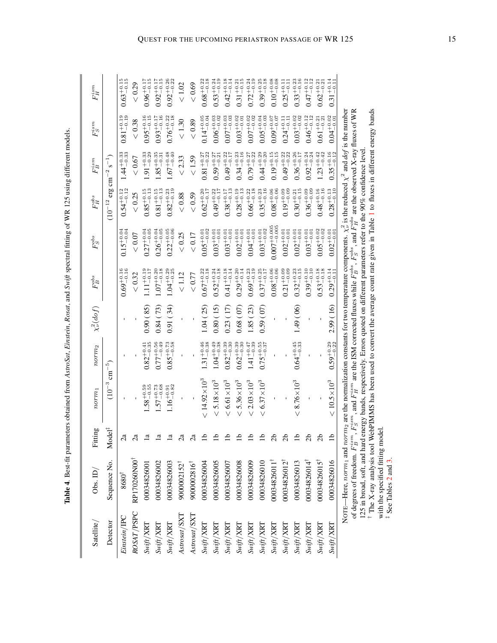| i                                                                       |
|-------------------------------------------------------------------------|
| l                                                                       |
|                                                                         |
|                                                                         |
| ֚֚֚֬                                                                    |
|                                                                         |
|                                                                         |
|                                                                         |
|                                                                         |
| I                                                                       |
|                                                                         |
|                                                                         |
|                                                                         |
|                                                                         |
|                                                                         |
| ī<br>l                                                                  |
| ֖֖֖֖֖֖֖֖֖֧ׅ֪ׅ֪֪ׅ֖֧ׅ֪ׅ֖֧֪ׅ֪֪֪֪ׅ֖֧֚֚֚֚֚֚֚֚֚֚֚֚֚֚֚֚֚֚֚֚֚֚֚֚֬֝֝֝֝<br>ł<br>l |

 $\parallel$ 

| Satellite/                          | Obs. $ID/$                                                                                                                                                                                                                      | Fitting                     | norm                                                                                                                                               | norm <sub>2</sub>      | $\chi^2_\nu(dof)$ | $F^{obs}_B$                       | $F_S^{obs}$               | $F_H^{obs}$                                 | $F^{ism}_B$                       | $F_S^{ism}$            | $F_H^{ism}$            |
|-------------------------------------|---------------------------------------------------------------------------------------------------------------------------------------------------------------------------------------------------------------------------------|-----------------------------|----------------------------------------------------------------------------------------------------------------------------------------------------|------------------------|-------------------|-----------------------------------|---------------------------|---------------------------------------------|-----------------------------------|------------------------|------------------------|
| Detector                            | Sequence No.                                                                                                                                                                                                                    | $\vec{e}$<br>Йo             | $(10^{-3}$                                                                                                                                         | $\rm{cm^{-5}}$         |                   |                                   |                           | ${\rm erg}\ {\rm cm}^{-2}$<br>$(10^{-12}$ . | $s^{-1}$                          |                        |                        |
| Einstein/IPC                        | $8680^\dagger$                                                                                                                                                                                                                  | ିଧ                          |                                                                                                                                                    |                        |                   | $0.69^{+0.16}_{-0.16}$            | $0.15^{+0.04}_{-0.04}$    | $0.54^{+0.12}_{-0.12}$                      | $1.44^{+0.33}_{-0.33}$            | $0.81^{+0.19}_{-0.19}$ | $0.63^{+0.15}_{-0.15}$ |
| ROSAT/PSPC                          | RP170260N00                                                                                                                                                                                                                     | $\mathbb{S}^{\mathsf{a}}$   |                                                                                                                                                    |                        |                   | ${}< 0.32$                        | < 0.07                    | < 0.25                                      | < 0.67                            | $< 0.38$               | < 0.29                 |
| Swift/XRT                           | 00034826001                                                                                                                                                                                                                     | $\overline{a}$              | $1.58^{+0.59}_{-0.55}$                                                                                                                             | $0.82^{+0.41}_{-0.35}$ | 0.90(85)          | $1.11^{+0.19}_{-0.17}$            | $0.27^{+0.04}_{-0.05}$    | $0.85^{+0.15}_{-0.13}$                      | $.91^{+0.33}_{-0.29}$             | $0.95^{+0.16}_{-0.15}$ | $0.96^{+0.17}_{-0.15}$ |
| $\textit{Swift}/\textit{XRT}$       | 00034826002                                                                                                                                                                                                                     | $\Xi$                       | $1.57^{+0.73}_{-0.68}$                                                                                                                             | $0.77^{+0.56}_{-0.49}$ | 0.84(73)          | $1.07^{+0.20}_{-0.18}$            | $0.26^{+0.04}_{-0.05}$    | $0.81^{+0.15}_{-0.13}$                      | $1.85^{+0.35}_{-0.31}$            | $0.93^{+0.17}_{-0.16}$ | $0.92^{+0.17}_{-0.15}$ |
| $\textit{SWff}/\textit{XRT}$        | 00034826003                                                                                                                                                                                                                     | $\overline{a}$              | $1.16^{+0.91}_{-0.82}$                                                                                                                             | $0.85^{+0.73}_{-0.58}$ | 0.91(34)          | $1.04^{+0.29}_{-0.25}$            | $0.22_{-0.06}^{+0.05}$    | $0.82^{+0.23}_{-0.19}$                      | $1.67^{+0.48}_{-0.40}$            | $0.76^{+0.22}_{-0.18}$ | $0.92_{-0.22}^{+0.26}$ |
| A <i>strosat</i> / <i>S</i> XT      | 90000002152 <sup>†</sup>                                                                                                                                                                                                        | $\mathbb{C}^{\mathfrak{a}}$ |                                                                                                                                                    |                        |                   | < 1.12                            | < 0.25                    | < 0.88                                      | < 2.33                            | < 1.30                 | < 1.02                 |
| A <i>strosat</i> /SXT               | 9000002816                                                                                                                                                                                                                      | $\mathbb{C}^{\mathfrak{a}}$ |                                                                                                                                                    |                        |                   | $< 0.77$                          | $< 0.17$                  | $< 0.59$                                    | $<1.59$                           | < 0.89                 | $< 0.69$               |
| $Sw\!/\!\!/$ XRT                    | 00034826004                                                                                                                                                                                                                     |                             | $< 14.92 \times 10^{3}$                                                                                                                            | $1.31_{-0.38}^{+0.46}$ | 1.04(25)          | $0.67^{+0.22}_{-0.18}$            | $0.05^{+0.01}_{-0.02}$    | $0.62_{-0.17}^{+0.20}$                      | $0.81^{+0.27}_{-0.22}$            | $0.14^{+0.05}_{-0.04}$ | $0.68^{+0.22}_{-0.18}$ |
| $Sw\!/\!\!/$ XRT                    | 00034826005                                                                                                                                                                                                                     |                             | $< 5.18 \times 10^{3}$                                                                                                                             | $1.04^{+0.49}_{-0.38}$ | 0.80(15)          | $0.52_{-0.18}^{+0.24}$            | $0.03_{-0.01}^{+0.01}$    | $0.49^{+0.22}_{-0.17}$                      | $0.59^{+0.27}_{-0.21}$            | $0.06^{+0.03}_{-0.02}$ | $0.53_{-0.19}^{+0.24}$ |
| $Sw\bar{t}f/XRT$                    | 00034826007                                                                                                                                                                                                                     |                             | $< 6.61 \times 10^{3}$                                                                                                                             | $0.82^{+0.39}_{-0.30}$ | 0.23(17)          | $0.41^{+0.18}_{-0.18}$<br>$-0.14$ | $0.03^{+0.01}_{-0.01}$    | $0.38^{+0.17}_{-0.13}$                      | $-0.17$<br>$0.49^{+0.22}_{-0.72}$ | $0.07^{+0.03}_{-0.03}$ | $0.42_{-0.14}^{+0.18}$ |
| Swift/XRT                           | 00034826008                                                                                                                                                                                                                     |                             | $< 5.36 \times 10^{3}$                                                                                                                             | $0.62_{-0.30}^{+0.39}$ | 0.68(07)          | $0.29^{+0.20}_{-0.14}$            | $0.02^{+0.01}_{-0.01}$    | $0.28^{+0.19}_{-0.13}$                      | $0.34^{+0.23}_{-0.16}$            | $0.03^{+0.02}_{-0.01}$ | $0.31^{+0.21}_{-0.15}$ |
| $Sw\!/\!\!/K\!\!N\!T$               | 00034826009                                                                                                                                                                                                                     |                             | $<2.03\times10^{3}$                                                                                                                                | $1.41_{-0.39}^{+0.47}$ | 1.85(23)          | $0.69^{+0.23}_{-0.19}$            | $0.04^{+0.01}_{-0.01}$    | $0.66^{+0.22}_{-0.18}$                      | $0.79^{+0.27}_{-0.22}$            | $0.07^{+0.02}_{-0.02}$ | $0.72_{-0.19}^{+0.24}$ |
| $Sw\hat{t}f/XRT$                    | 00034826010                                                                                                                                                                                                                     |                             | $< 6.37 \times 10^{3}$                                                                                                                             | $0.75^{+0.55}_{-0.37}$ | 0.59(07)          | $0.37^{+0.25}_{-0.17}$            | $0.03_{-0.02}^{+0.01}$    | $0.35^{+0.23}_{-0.16}$                      | $0.44^{+0.29}_{-0.20}$            | $0.05^{+0.04}_{-0.03}$ | $0.39^{+0.25}_{-0.18}$ |
| $Sw\!/\!\!/$ XRT                    | 110034826011                                                                                                                                                                                                                    | ನ                           |                                                                                                                                                    |                        |                   | $0.08^{+0.06}_{-0.06}$            | $0.007^{+0.005}_{-0.005}$ | $0.08^{+0.06}_{-0.06}$                      | $0.19^{+0.15}_{-0.15}$            | $0.0^{+0.0}_{-0.0}$    | $0.10^{+0.08}_{-0.08}$ |
| $Sw\!/\!\!/ K\!N$                   | 00034826012 <sup>†</sup>                                                                                                                                                                                                        | ನ                           |                                                                                                                                                    |                        |                   | $0.21_{-0.09}^{+0.09}$            | $0.02^{+0.01}_{-0.01}$    | $0.19^{+0.09}_{-0.09}$                      | $0.49^{+0.22}_{-0.22}$            | $0.24^{+0.11}_{-0.11}$ | $0.25^{+0.11}_{-0.11}$ |
| $Sw\ddot{\eta}t/XRT$                | 00034826013                                                                                                                                                                                                                     |                             | $< 8.76 \times 10^{3}$                                                                                                                             | $0.64^{+0.45}_{-0.33}$ | $(90)$ $(6)$      | $0.32_{-0.15}^{+0.23}$            | $0.02^{+0.01}_{-0.01}$    | $0.30^{+0.21}_{-0.15}$                      | $0.36^{+0.26}_{-0.17}$            | $0.03_{-0.02}^{+0.02}$ | $0.33_{-0.16}^{+0.23}$ |
| Swift/XRT                           | 00034826014                                                                                                                                                                                                                     | ನ                           |                                                                                                                                                    |                        |                   | $0.39^{+0.10}_{-0.10}$            | $0.03_{-0.01}^{+0.01}$    | $0.36^{+0.09}_{-0.09}$                      | $0.92_{-0.24}^{+0.24}$            | $0.46^{+0.12}_{-0.12}$ | $0.47^{+0.12}_{-0.12}$ |
| $\frac{\partial W}{\partial t}$ XRT | 00034826015 <sup>†</sup>                                                                                                                                                                                                        | ನೆ                          |                                                                                                                                                    |                        |                   | $0.53^{+0.18}_{-0.18}$            | $0.05^{+0.02}_{-0.02}$    | $0.48^{+0.16}_{-0.16}$                      | $1.23^{+0.42}_{-0.42}$            | $0.61_{-0.21}^{+0.21}$ | $0.62_{-0.21}^{+0.21}$ |
| $\frac{Sw\hat{t}\hat{r}}{XRT}$      | 00034826016                                                                                                                                                                                                                     |                             | $< 10.5 \times 10^{3}$                                                                                                                             | $0.59^{+0.29}_{-0.22}$ | 2.99(16)          | $0.29^{+0.14}_{-0.11}$            | $0.02^{+0.01}_{-0.01}$    | $0.28^{+0.13}_{-0.10}$                      | $0.35^{+0.16}_{-0.12}$            | $0.04^{+0.02}_{-0.01}$ | $0.31_{-0.11}^{+0.14}$ |
|                                     | NOTE—Here, <i>norm</i> <sub>1</sub> and <i>norm</i> <sub>2</sub> are the normalization constants for two temperature components. $\chi^2$ is the reduced $\chi^2$ and $dof$ is the number<br>of degrees of freedom. $F_B^{ism}$ |                             | , $F_5^{lsm}$ , and $F_1^{lsm}$ are the ISM corrected fluxes while $F_5^{lob}$ , $F_5^{ob}$ , and $F_1^{olob}$ are the observed X-ray fluxes of WR |                        |                   |                                   |                           |                                             |                                   |                        |                        |

of degrees of freedom.  $F_B^{ism}, F_S^{ism}$  $S^{ssm}$ , and  $F_H^{ism}$  $\dddot{H}$  are the ISM corrected fluxes while  $\dddot{H}$  $\mathcal{F}^{obs}_S$ , and  $\mathcal{F}^{obs}_S$ , and  $G_{\mu\nu}^{\mu\nu\sigma}$  are the observed X-ray fluxes of WR<br> $\lambda$ 

125 in broad, soft, and hard energy bands, respectively. Errors quoted on different parameters refer to the 90% confidence level. †‡The X-ray analysis tool WebPIMMS has been used to convert the average count rate given in Table [1](#page-0-0) to fluxes in different energy bands

with the specified fitting model.

See Tables [2](#page-11-0) and [3.](#page-11-0)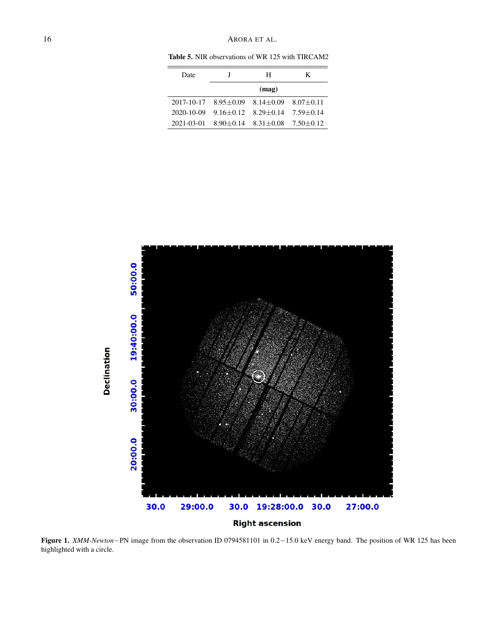Table 5. NIR observations of WR 125 with TIRCAM2

| Date       |                                      | н                           | K             |
|------------|--------------------------------------|-----------------------------|---------------|
|            |                                      | (mag)                       |               |
|            | $2017-10-17$ $8.95+0.09$ $8.14+0.09$ |                             | $8.07 + 0.11$ |
| 2020-10-09 | $9.16 + 0.12$                        | $8.29 + 0.14$               | $7.59 + 0.14$ |
| 2021-03-01 |                                      | $8.90 + 0.14$ $8.31 + 0.08$ | $7.50 + 0.12$ |
|            |                                      |                             |               |



<span id="page-15-0"></span>Figure 1. *XMM-Newton*−PN image from the observation ID 0794581101 in 0.2−15.0 keV energy band. The position of WR 125 has been highlighted with a circle.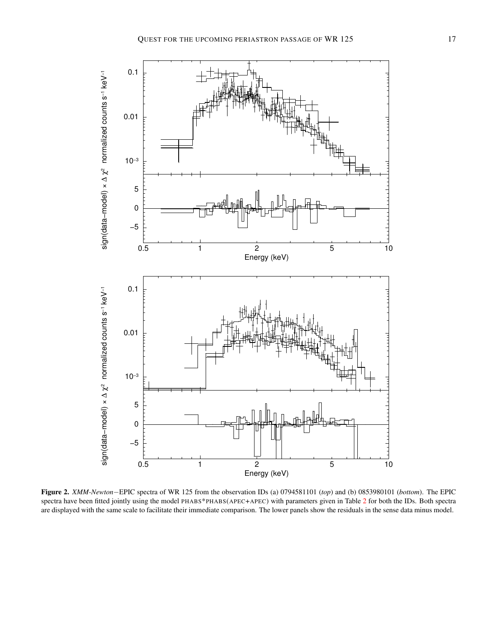



<span id="page-16-0"></span>Figure 2. *XMM-Newton*−EPIC spectra of WR 125 from the observation IDs (a) 0794581101 (*top*) and (b) 0853980101 (*bottom*). The EPIC spectra have been fitted jointly using the model PHABS\*PHABS(APEC+APEC) with parameters given in Table [2](#page-11-0) for both the IDs. Both spectra are displayed with the same scale to facilitate their immediate comparison. The lower panels show the residuals in the sense data minus model.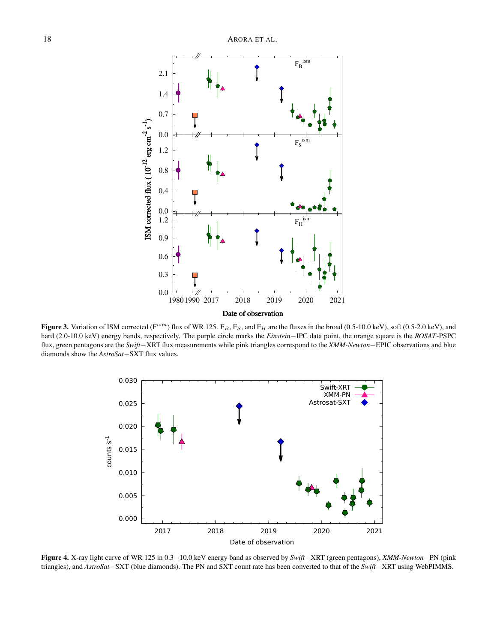

<span id="page-17-0"></span>Figure 3. Variation of ISM corrected ( $F^{ism}$ ) flux of WR 125.  $F_B$ ,  $F_S$ , and  $F_H$  are the fluxes in the broad (0.5-10.0 keV), soft (0.5-2.0 keV), and hard (2.0-10.0 keV) energy bands, respectively. The purple circle marks the *Einstein*−IPC data point, the orange square is the *ROSAT*-PSPC flux, green pentagons are the *Swift*−XRT flux measurements while pink triangles correspond to the *XMM-Newton*−EPIC observations and blue diamonds show the *AstroSat*−SXT flux values.



<span id="page-17-1"></span>Figure 4. X-ray light curve of WR 125 in 0.3−10.0 keV energy band as observed by *Swift*−XRT (green pentagons), *XMM-Newton*−PN (pink triangles), and *AstroSat*−SXT (blue diamonds). The PN and SXT count rate has been converted to that of the *Swift*−XRT using WebPIMMS.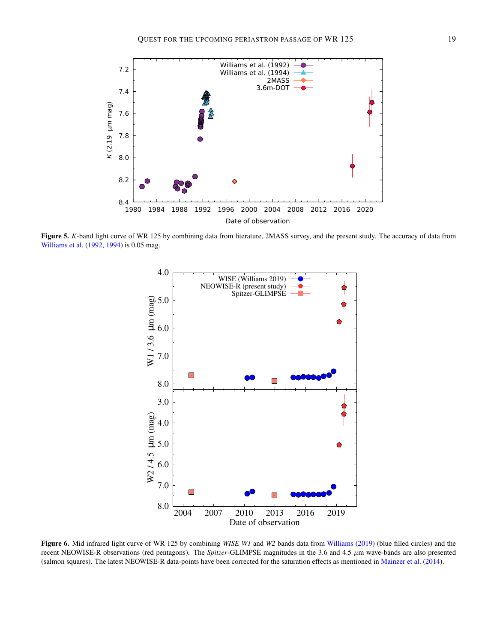

<span id="page-18-0"></span>Figure 5. *K*-band light curve of WR 125 by combining data from literature, 2MASS survey, and the present study. The accuracy of data from [Williams et al.](#page-10-6) [\(1992,](#page-10-6) [1994\)](#page-10-7) is 0.05 mag.



<span id="page-18-1"></span>Figure 6. Mid infrared light curve of WR 125 by combining *WISE W1* and *W2* bands data from [Williams](#page-10-9) [\(2019\)](#page-10-9) (blue filled circles) and the recent NEOWISE-R observations (red pentagons). The *Spitzer*-GLIMPSE magnitudes in the 3.6 and 4.5 µm wave-bands are also presented (salmon squares). The latest NEOWISE-R data-points have been corrected for the saturation effects as mentioned in [Mainzer et al.](#page-9-28) [\(2014\)](#page-9-28).